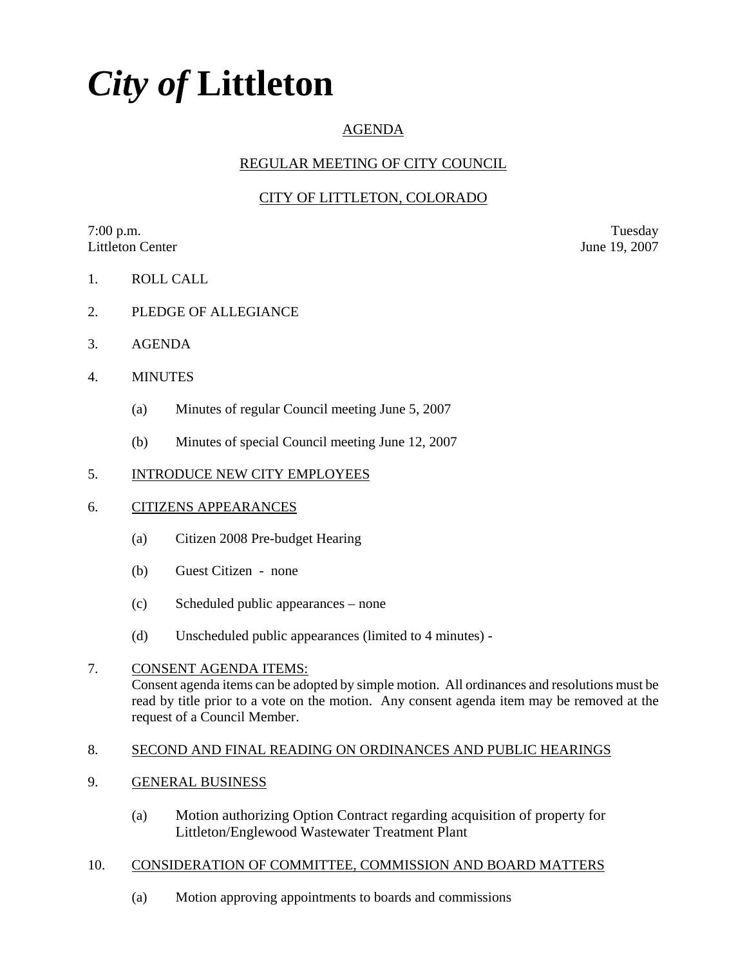# *City of* **Littleton**

# AGENDA

## REGULAR MEETING OF CITY COUNCIL

# CITY OF LITTLETON, COLORADO

7:00 p.m. Tuesday Littleton Center June 19, 2007

- 1. ROLL CALL
- 2. PLEDGE OF ALLEGIANCE
- 3. AGENDA
- 4. MINUTES
	- (a) Minutes of regular Council meeting June 5, 2007
	- (b) Minutes of special Council meeting June 12, 2007

## 5. INTRODUCE NEW CITY EMPLOYEES

## 6. CITIZENS APPEARANCES

- (a) Citizen 2008 Pre-budget Hearing
- (b) Guest Citizen none
- (c) Scheduled public appearances none
- (d) Unscheduled public appearances (limited to 4 minutes) -

## 7. CONSENT AGENDA ITEMS: Consent agenda items can be adopted by simple motion. All ordinances and resolutions must be read by title prior to a vote on the motion. Any consent agenda item may be removed at the request of a Council Member.

## 8. SECOND AND FINAL READING ON ORDINANCES AND PUBLIC HEARINGS

- 9. GENERAL BUSINESS
	- (a) Motion authorizing Option Contract regarding acquisition of property for Littleton/Englewood Wastewater Treatment Plant

## 10. CONSIDERATION OF COMMITTEE, COMMISSION AND BOARD MATTERS

(a) Motion approving appointments to boards and commissions